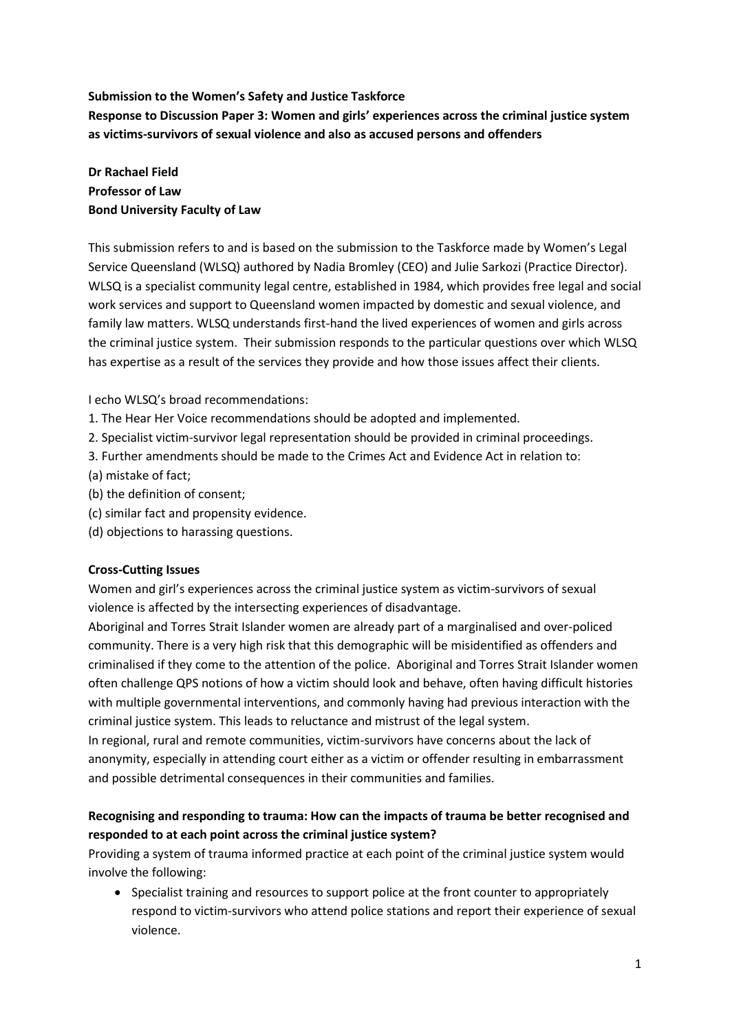### Submission to the Women's Safety and Justice Taskforce

Response to Discussion Paper 3: Women and girls' experiences across the criminal justice system as victims-survivors of sexual violence and also as accused persons and offenders

### Dr Rachael Field Professor of Law Bond University Faculty of Law

This submission refers to and is based on the submission to the Taskforce made by Women's Legal Service Queensland (WLSQ) authored by Nadia Bromley (CEO) and Julie Sarkozi (Practice Director). WLSQ is a specialist community legal centre, established in 1984, which provides free legal and social work services and support to Queensland women impacted by domestic and sexual violence, and family law matters. WLSQ understands first-hand the lived experiences of women and girls across the criminal justice system. Their submission responds to the particular questions over which WLSQ has expertise as a result of the services they provide and how those issues affect their clients.

### I echo WLSQ's broad recommendations:

- 1. The Hear Her Voice recommendations should be adopted and implemented.
- 2. Specialist victim-survivor legal representation should be provided in criminal proceedings.
- 3. Further amendments should be made to the Crimes Act and Evidence Act in relation to:
- (a) mistake of fact;
- (b) the definition of consent;
- (c) similar fact and propensity evidence.
- (d) objections to harassing questions.

### Cross-Cutting Issues

Women and girl's experiences across the criminal justice system as victim-survivors of sexual violence is affected by the intersecting experiences of disadvantage.

Aboriginal and Torres Strait Islander women are already part of a marginalised and over-policed community. There is a very high risk that this demographic will be misidentified as offenders and criminalised if they come to the attention of the police. Aboriginal and Torres Strait Islander women often challenge QPS notions of how a victim should look and behave, often having difficult histories with multiple governmental interventions, and commonly having had previous interaction with the criminal justice system. This leads to reluctance and mistrust of the legal system.

In regional, rural and remote communities, victim-survivors have concerns about the lack of anonymity, especially in attending court either as a victim or offender resulting in embarrassment and possible detrimental consequences in their communities and families.

### Recognising and responding to trauma: How can the impacts of trauma be better recognised and responded to at each point across the criminal justice system?

Providing a system of trauma informed practice at each point of the criminal justice system would involve the following:

• Specialist training and resources to support police at the front counter to appropriately respond to victim-survivors who attend police stations and report their experience of sexual violence.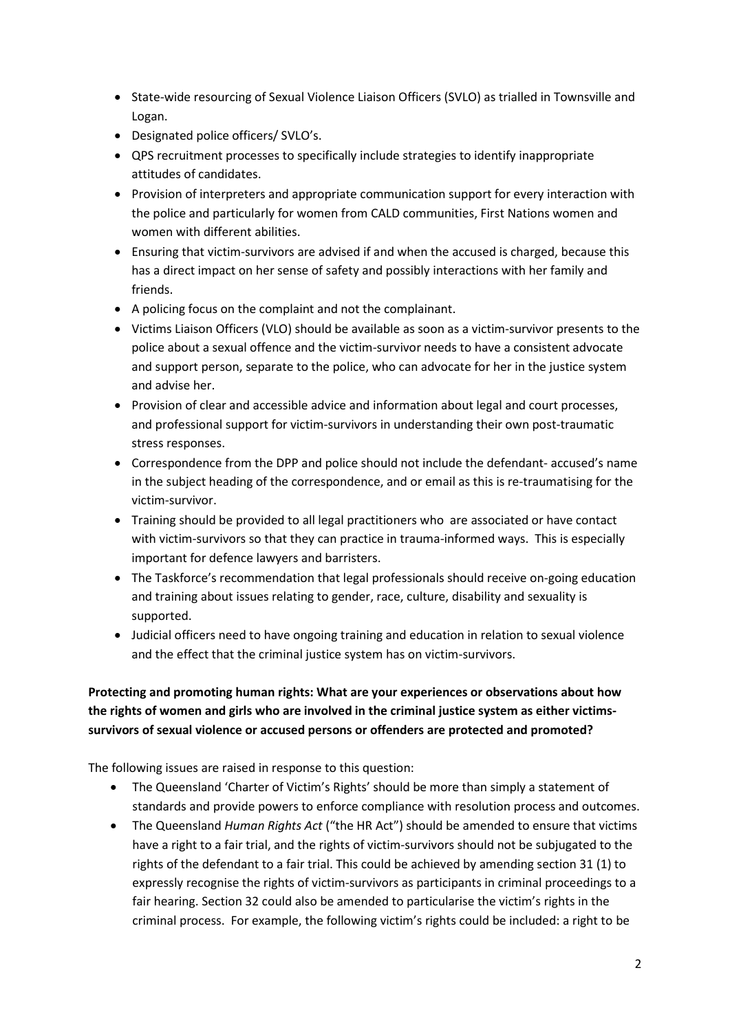- State-wide resourcing of Sexual Violence Liaison Officers (SVLO) as trialled in Townsville and Logan.
- Designated police officers/ SVLO's.
- QPS recruitment processes to specifically include strategies to identify inappropriate attitudes of candidates.
- Provision of interpreters and appropriate communication support for every interaction with the police and particularly for women from CALD communities, First Nations women and women with different abilities.
- Ensuring that victim-survivors are advised if and when the accused is charged, because this has a direct impact on her sense of safety and possibly interactions with her family and friends.
- A policing focus on the complaint and not the complainant.
- Victims Liaison Officers (VLO) should be available as soon as a victim-survivor presents to the police about a sexual offence and the victim-survivor needs to have a consistent advocate and support person, separate to the police, who can advocate for her in the justice system and advise her.
- Provision of clear and accessible advice and information about legal and court processes, and professional support for victim-survivors in understanding their own post-traumatic stress responses.
- Correspondence from the DPP and police should not include the defendant- accused's name in the subject heading of the correspondence, and or email as this is re-traumatising for the victim-survivor.
- Training should be provided to all legal practitioners who are associated or have contact with victim-survivors so that they can practice in trauma-informed ways. This is especially important for defence lawyers and barristers.
- The Taskforce's recommendation that legal professionals should receive on-going education and training about issues relating to gender, race, culture, disability and sexuality is supported.
- Judicial officers need to have ongoing training and education in relation to sexual violence and the effect that the criminal justice system has on victim-survivors.

## Protecting and promoting human rights: What are your experiences or observations about how the rights of women and girls who are involved in the criminal justice system as either victimssurvivors of sexual violence or accused persons or offenders are protected and promoted?

The following issues are raised in response to this question:

- The Queensland 'Charter of Victim's Rights' should be more than simply a statement of standards and provide powers to enforce compliance with resolution process and outcomes.
- The Queensland Human Rights Act ("the HR Act") should be amended to ensure that victims have a right to a fair trial, and the rights of victim-survivors should not be subjugated to the rights of the defendant to a fair trial. This could be achieved by amending section 31 (1) to expressly recognise the rights of victim-survivors as participants in criminal proceedings to a fair hearing. Section 32 could also be amended to particularise the victim's rights in the criminal process. For example, the following victim's rights could be included: a right to be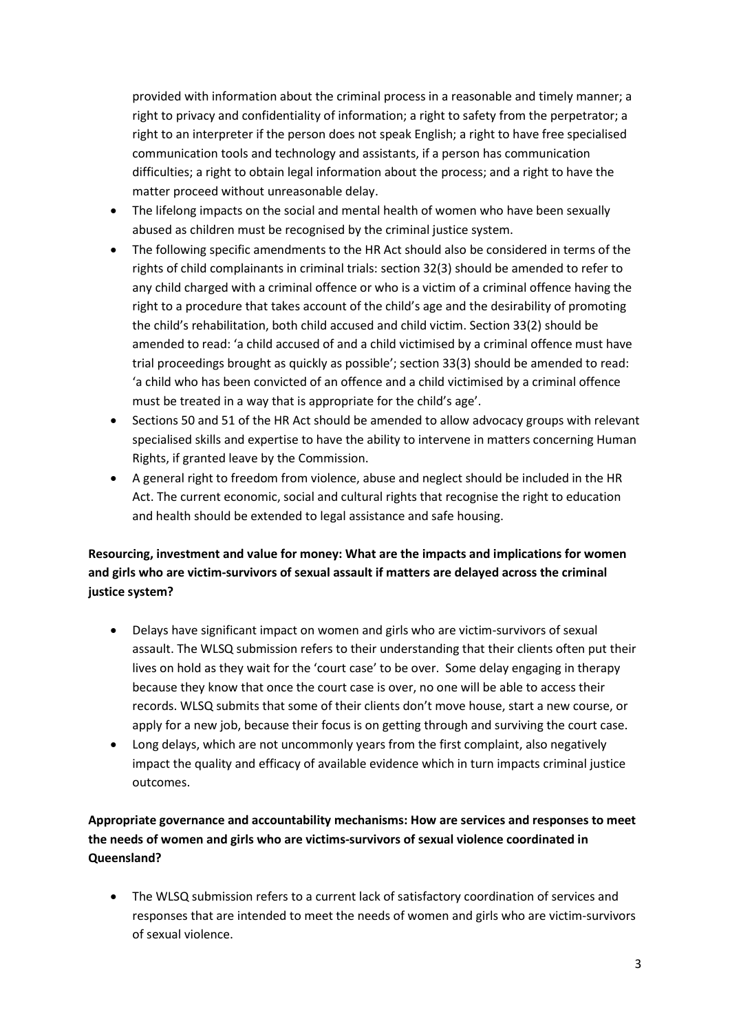provided with information about the criminal process in a reasonable and timely manner; a right to privacy and confidentiality of information; a right to safety from the perpetrator; a right to an interpreter if the person does not speak English; a right to have free specialised communication tools and technology and assistants, if a person has communication difficulties; a right to obtain legal information about the process; and a right to have the matter proceed without unreasonable delay.

- The lifelong impacts on the social and mental health of women who have been sexually abused as children must be recognised by the criminal justice system.
- The following specific amendments to the HR Act should also be considered in terms of the rights of child complainants in criminal trials: section 32(3) should be amended to refer to any child charged with a criminal offence or who is a victim of a criminal offence having the right to a procedure that takes account of the child's age and the desirability of promoting the child's rehabilitation, both child accused and child victim. Section 33(2) should be amended to read: 'a child accused of and a child victimised by a criminal offence must have trial proceedings brought as quickly as possible'; section 33(3) should be amended to read: 'a child who has been convicted of an offence and a child victimised by a criminal offence must be treated in a way that is appropriate for the child's age'.
- Sections 50 and 51 of the HR Act should be amended to allow advocacy groups with relevant specialised skills and expertise to have the ability to intervene in matters concerning Human Rights, if granted leave by the Commission.
- A general right to freedom from violence, abuse and neglect should be included in the HR Act. The current economic, social and cultural rights that recognise the right to education and health should be extended to legal assistance and safe housing.

# Resourcing, investment and value for money: What are the impacts and implications for women and girls who are victim-survivors of sexual assault if matters are delayed across the criminal justice system?

- Delays have significant impact on women and girls who are victim-survivors of sexual assault. The WLSQ submission refers to their understanding that their clients often put their lives on hold as they wait for the 'court case' to be over. Some delay engaging in therapy because they know that once the court case is over, no one will be able to access their records. WLSQ submits that some of their clients don't move house, start a new course, or apply for a new job, because their focus is on getting through and surviving the court case.
- Long delays, which are not uncommonly years from the first complaint, also negatively impact the quality and efficacy of available evidence which in turn impacts criminal justice outcomes.

# Appropriate governance and accountability mechanisms: How are services and responses to meet the needs of women and girls who are victims-survivors of sexual violence coordinated in Queensland?

 The WLSQ submission refers to a current lack of satisfactory coordination of services and responses that are intended to meet the needs of women and girls who are victim-survivors of sexual violence.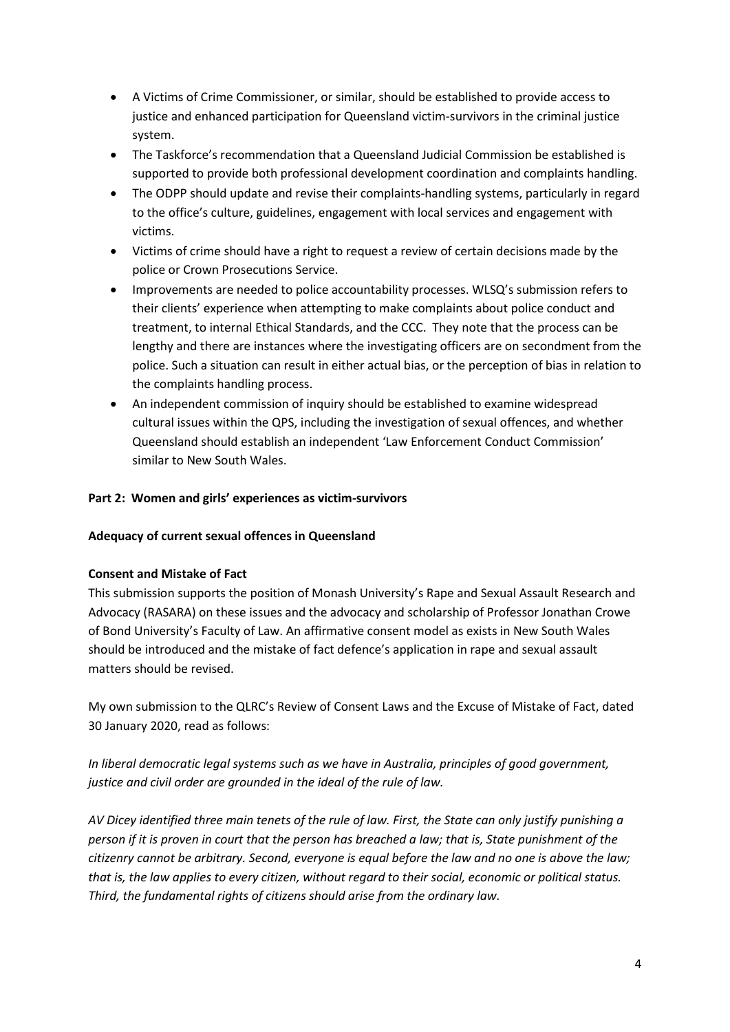- A Victims of Crime Commissioner, or similar, should be established to provide access to justice and enhanced participation for Queensland victim-survivors in the criminal justice system.
- The Taskforce's recommendation that a Queensland Judicial Commission be established is supported to provide both professional development coordination and complaints handling.
- The ODPP should update and revise their complaints-handling systems, particularly in regard to the office's culture, guidelines, engagement with local services and engagement with victims.
- Victims of crime should have a right to request a review of certain decisions made by the police or Crown Prosecutions Service.
- Improvements are needed to police accountability processes. WLSQ's submission refers to their clients' experience when attempting to make complaints about police conduct and treatment, to internal Ethical Standards, and the CCC. They note that the process can be lengthy and there are instances where the investigating officers are on secondment from the police. Such a situation can result in either actual bias, or the perception of bias in relation to the complaints handling process.
- An independent commission of inquiry should be established to examine widespread cultural issues within the QPS, including the investigation of sexual offences, and whether Queensland should establish an independent 'Law Enforcement Conduct Commission' similar to New South Wales.

### Part 2: Women and girls' experiences as victim-survivors

### Adequacy of current sexual offences in Queensland

### Consent and Mistake of Fact

This submission supports the position of Monash University's Rape and Sexual Assault Research and Advocacy (RASARA) on these issues and the advocacy and scholarship of Professor Jonathan Crowe of Bond University's Faculty of Law. An affirmative consent model as exists in New South Wales should be introduced and the mistake of fact defence's application in rape and sexual assault matters should be revised.

My own submission to the QLRC's Review of Consent Laws and the Excuse of Mistake of Fact, dated 30 January 2020, read as follows:

In liberal democratic legal systems such as we have in Australia, principles of good government, justice and civil order are grounded in the ideal of the rule of law.

AV Dicey identified three main tenets of the rule of law. First, the State can only justify punishing a person if it is proven in court that the person has breached a law; that is, State punishment of the citizenry cannot be arbitrary. Second, everyone is equal before the law and no one is above the law; that is, the law applies to every citizen, without regard to their social, economic or political status. Third, the fundamental rights of citizens should arise from the ordinary law.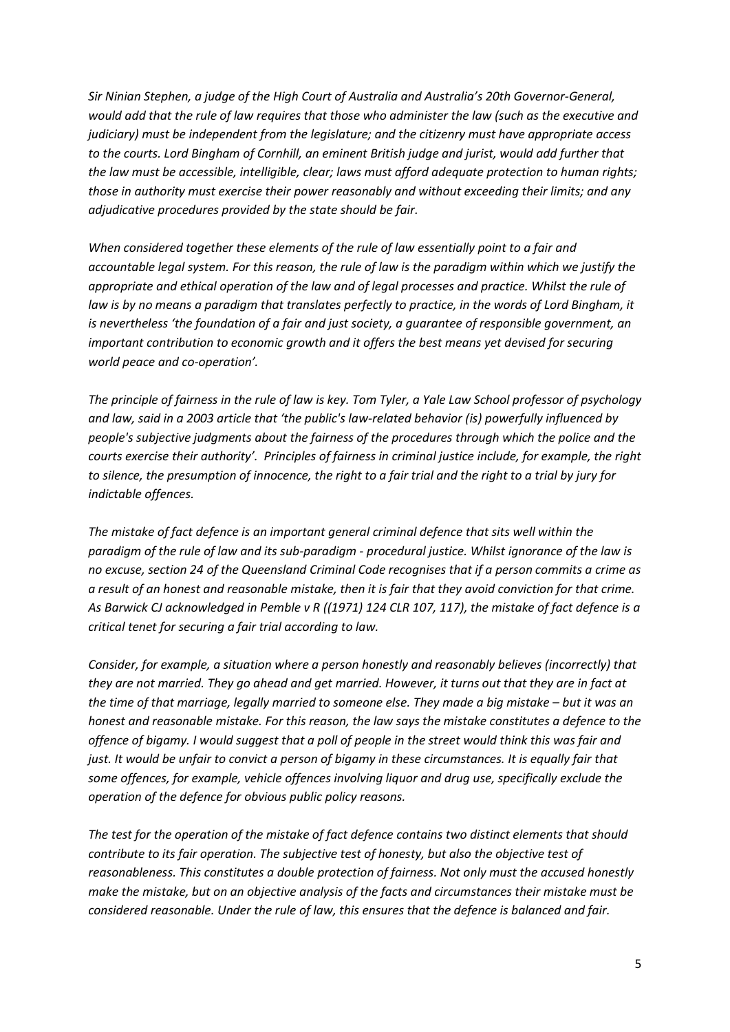Sir Ninian Stephen, a judge of the High Court of Australia and Australia's 20th Governor-General, would add that the rule of law requires that those who administer the law (such as the executive and judiciary) must be independent from the legislature; and the citizenry must have appropriate access to the courts. Lord Bingham of Cornhill, an eminent British judge and jurist, would add further that the law must be accessible, intelligible, clear; laws must afford adequate protection to human rights; those in authority must exercise their power reasonably and without exceeding their limits; and any adjudicative procedures provided by the state should be fair.

When considered together these elements of the rule of law essentially point to a fair and accountable legal system. For this reason, the rule of law is the paradigm within which we justify the appropriate and ethical operation of the law and of legal processes and practice. Whilst the rule of law is by no means a paradigm that translates perfectly to practice, in the words of Lord Bingham, it is nevertheless 'the foundation of a fair and just society, a guarantee of responsible government, an important contribution to economic growth and it offers the best means yet devised for securing world peace and co-operation'.

The principle of fairness in the rule of law is key. Tom Tyler, a Yale Law School professor of psychology and law, said in a 2003 article that 'the public's law-related behavior (is) powerfully influenced by people's subjective judgments about the fairness of the procedures through which the police and the courts exercise their authority'. Principles of fairness in criminal justice include, for example, the right to silence, the presumption of innocence, the right to a fair trial and the right to a trial by jury for indictable offences.

The mistake of fact defence is an important general criminal defence that sits well within the paradigm of the rule of law and its sub-paradigm - procedural justice. Whilst ignorance of the law is no excuse, section 24 of the Queensland Criminal Code recognises that if a person commits a crime as a result of an honest and reasonable mistake, then it is fair that they avoid conviction for that crime. As Barwick CJ acknowledged in Pemble v R ((1971) 124 CLR 107, 117), the mistake of fact defence is a critical tenet for securing a fair trial according to law.

Consider, for example, a situation where a person honestly and reasonably believes (incorrectly) that they are not married. They go ahead and get married. However, it turns out that they are in fact at the time of that marriage, legally married to someone else. They made a big mistake – but it was an honest and reasonable mistake. For this reason, the law says the mistake constitutes a defence to the offence of bigamy. I would suggest that a poll of people in the street would think this was fair and just. It would be unfair to convict a person of bigamy in these circumstances. It is equally fair that some offences, for example, vehicle offences involving liquor and drug use, specifically exclude the operation of the defence for obvious public policy reasons.

The test for the operation of the mistake of fact defence contains two distinct elements that should contribute to its fair operation. The subjective test of honesty, but also the objective test of reasonableness. This constitutes a double protection of fairness. Not only must the accused honestly make the mistake, but on an objective analysis of the facts and circumstances their mistake must be considered reasonable. Under the rule of law, this ensures that the defence is balanced and fair.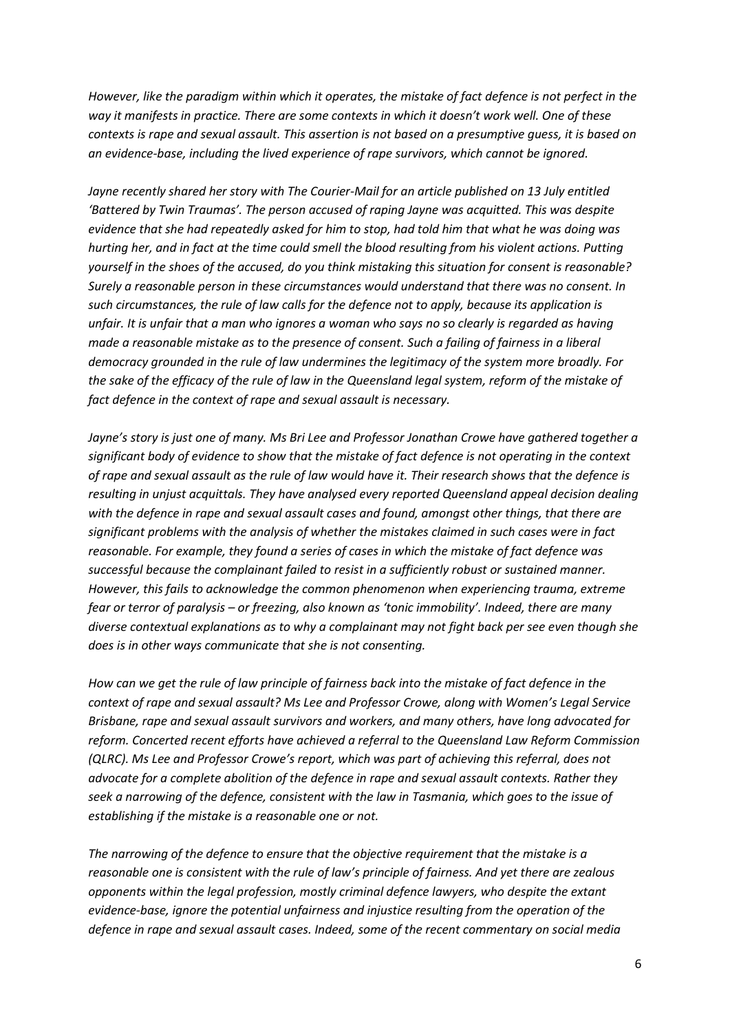However, like the paradigm within which it operates, the mistake of fact defence is not perfect in the way it manifests in practice. There are some contexts in which it doesn't work well. One of these contexts is rape and sexual assault. This assertion is not based on a presumptive guess, it is based on an evidence-base, including the lived experience of rape survivors, which cannot be ignored.

Jayne recently shared her story with The Courier-Mail for an article published on 13 July entitled 'Battered by Twin Traumas'. The person accused of raping Jayne was acquitted. This was despite evidence that she had repeatedly asked for him to stop, had told him that what he was doing was hurting her, and in fact at the time could smell the blood resulting from his violent actions. Putting yourself in the shoes of the accused, do you think mistaking this situation for consent is reasonable? Surely a reasonable person in these circumstances would understand that there was no consent. In such circumstances, the rule of law calls for the defence not to apply, because its application is unfair. It is unfair that a man who ignores a woman who says no so clearly is regarded as having made a reasonable mistake as to the presence of consent. Such a failing of fairness in a liberal democracy grounded in the rule of law undermines the legitimacy of the system more broadly. For the sake of the efficacy of the rule of law in the Queensland legal system, reform of the mistake of fact defence in the context of rape and sexual assault is necessary.

Jayne's story is just one of many. Ms Bri Lee and Professor Jonathan Crowe have gathered together a significant body of evidence to show that the mistake of fact defence is not operating in the context of rape and sexual assault as the rule of law would have it. Their research shows that the defence is resulting in unjust acquittals. They have analysed every reported Queensland appeal decision dealing with the defence in rape and sexual assault cases and found, amongst other things, that there are significant problems with the analysis of whether the mistakes claimed in such cases were in fact reasonable. For example, they found a series of cases in which the mistake of fact defence was successful because the complainant failed to resist in a sufficiently robust or sustained manner. However, this fails to acknowledge the common phenomenon when experiencing trauma, extreme fear or terror of paralysis – or freezing, also known as 'tonic immobility'. Indeed, there are many diverse contextual explanations as to why a complainant may not fight back per see even though she does is in other ways communicate that she is not consenting.

How can we get the rule of law principle of fairness back into the mistake of fact defence in the context of rape and sexual assault? Ms Lee and Professor Crowe, along with Women's Legal Service Brisbane, rape and sexual assault survivors and workers, and many others, have long advocated for reform. Concerted recent efforts have achieved a referral to the Queensland Law Reform Commission (QLRC). Ms Lee and Professor Crowe's report, which was part of achieving this referral, does not advocate for a complete abolition of the defence in rape and sexual assault contexts. Rather they seek a narrowing of the defence, consistent with the law in Tasmania, which goes to the issue of establishing if the mistake is a reasonable one or not.

The narrowing of the defence to ensure that the objective requirement that the mistake is a reasonable one is consistent with the rule of law's principle of fairness. And yet there are zealous opponents within the legal profession, mostly criminal defence lawyers, who despite the extant evidence-base, ignore the potential unfairness and injustice resulting from the operation of the defence in rape and sexual assault cases. Indeed, some of the recent commentary on social media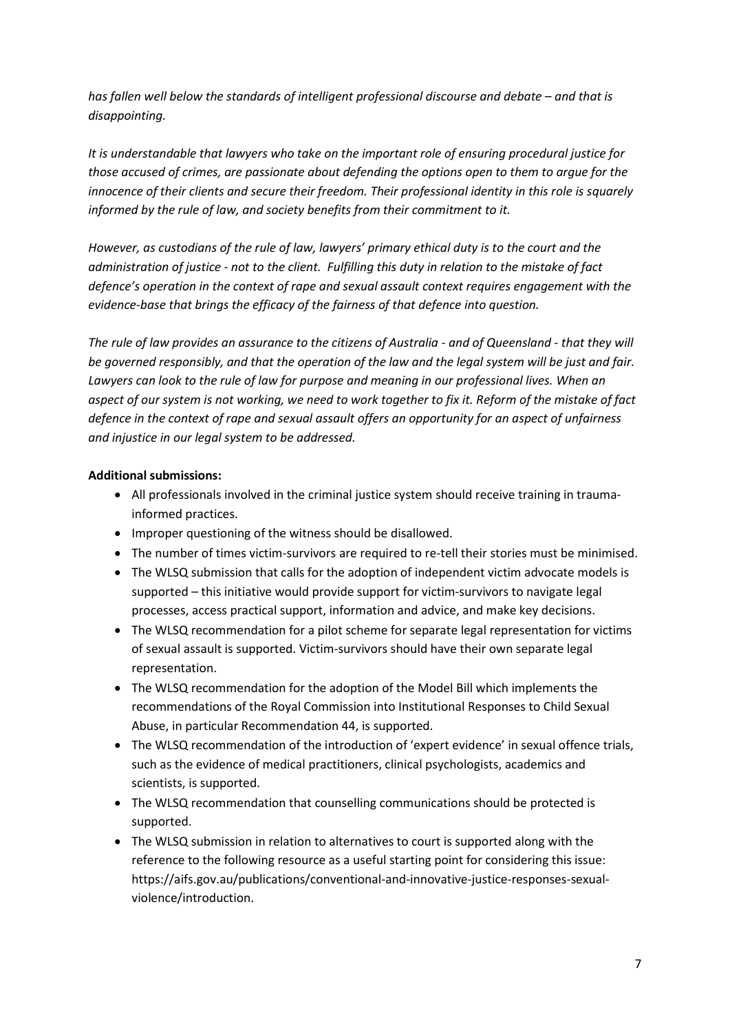has fallen well below the standards of intelligent professional discourse and debate – and that is disappointing.

It is understandable that lawyers who take on the important role of ensuring procedural justice for those accused of crimes, are passionate about defending the options open to them to argue for the innocence of their clients and secure their freedom. Their professional identity in this role is squarely informed by the rule of law, and society benefits from their commitment to it.

However, as custodians of the rule of law, lawyers' primary ethical duty is to the court and the administration of justice - not to the client. Fulfilling this duty in relation to the mistake of fact defence's operation in the context of rape and sexual assault context requires engagement with the evidence-base that brings the efficacy of the fairness of that defence into question.

The rule of law provides an assurance to the citizens of Australia - and of Queensland - that they will be governed responsibly, and that the operation of the law and the legal system will be just and fair. Lawyers can look to the rule of law for purpose and meaning in our professional lives. When an aspect of our system is not working, we need to work together to fix it. Reform of the mistake of fact defence in the context of rape and sexual assault offers an opportunity for an aspect of unfairness and injustice in our legal system to be addressed.

### Additional submissions:

- All professionals involved in the criminal justice system should receive training in traumainformed practices.
- Improper questioning of the witness should be disallowed.
- The number of times victim-survivors are required to re-tell their stories must be minimised.
- The WLSQ submission that calls for the adoption of independent victim advocate models is supported – this initiative would provide support for victim-survivors to navigate legal processes, access practical support, information and advice, and make key decisions.
- The WLSQ recommendation for a pilot scheme for separate legal representation for victims of sexual assault is supported. Victim-survivors should have their own separate legal representation.
- The WLSQ recommendation for the adoption of the Model Bill which implements the recommendations of the Royal Commission into Institutional Responses to Child Sexual Abuse, in particular Recommendation 44, is supported.
- The WLSQ recommendation of the introduction of 'expert evidence' in sexual offence trials, such as the evidence of medical practitioners, clinical psychologists, academics and scientists, is supported.
- The WLSQ recommendation that counselling communications should be protected is supported.
- The WLSQ submission in relation to alternatives to court is supported along with the reference to the following resource as a useful starting point for considering this issue: https://aifs.gov.au/publications/conventional-and-innovative-justice-responses-sexualviolence/introduction.